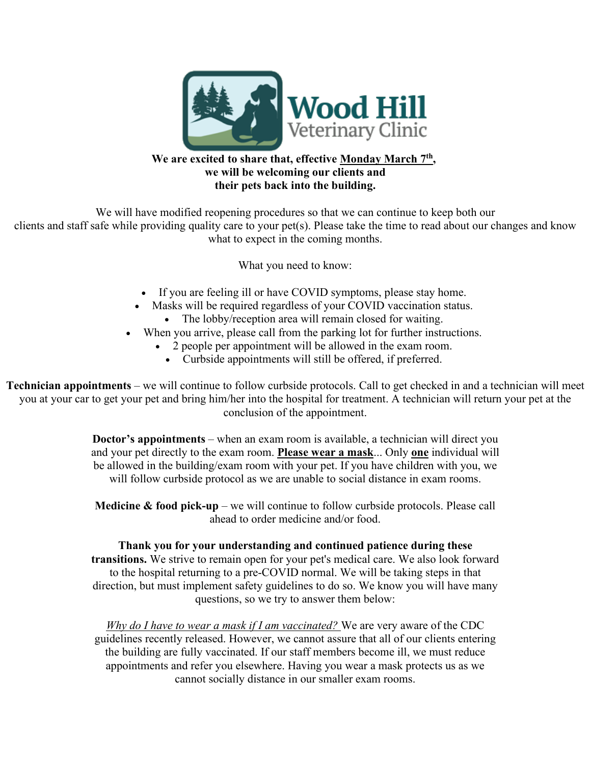

## **We are excited to share that, effective Monday March 7th, we will be welcoming our clients and their pets back into the building.**

We will have modified reopening procedures so that we can continue to keep both our clients and staff safe while providing quality care to your pet(s). Please take the time to read about our changes and know what to expect in the coming months.

What you need to know:

- If you are feeling ill or have COVID symptoms, please stay home.
- Masks will be required regardless of your COVID vaccination status. • The lobby/reception area will remain closed for waiting.
- When you arrive, please call from the parking lot for further instructions.
	- 2 people per appointment will be allowed in the exam room.
		- Curbside appointments will still be offered, if preferred.

**Technician appointments** – we will continue to follow curbside protocols. Call to get checked in and a technician will meet you at your car to get your pet and bring him/her into the hospital for treatment. A technician will return your pet at the conclusion of the appointment.

> **Doctor's appointments** – when an exam room is available, a technician will direct you and your pet directly to the exam room. **Please wear a mask**... Only **one** individual will be allowed in the building/exam room with your pet. If you have children with you, we will follow curbside protocol as we are unable to social distance in exam rooms.

**Medicine & food pick-up** – we will continue to follow curbside protocols. Please call ahead to order medicine and/or food.

**Thank you for your understanding and continued patience during these transitions.** We strive to remain open for your pet's medical care. We also look forward to the hospital returning to a pre-COVID normal. We will be taking steps in that direction, but must implement safety guidelines to do so. We know you will have many questions, so we try to answer them below:

*Why do I have to wear a mask if I am vaccinated?* We are very aware of the CDC guidelines recently released. However, we cannot assure that all of our clients entering the building are fully vaccinated. If our staff members become ill, we must reduce appointments and refer you elsewhere. Having you wear a mask protects us as we cannot socially distance in our smaller exam rooms.